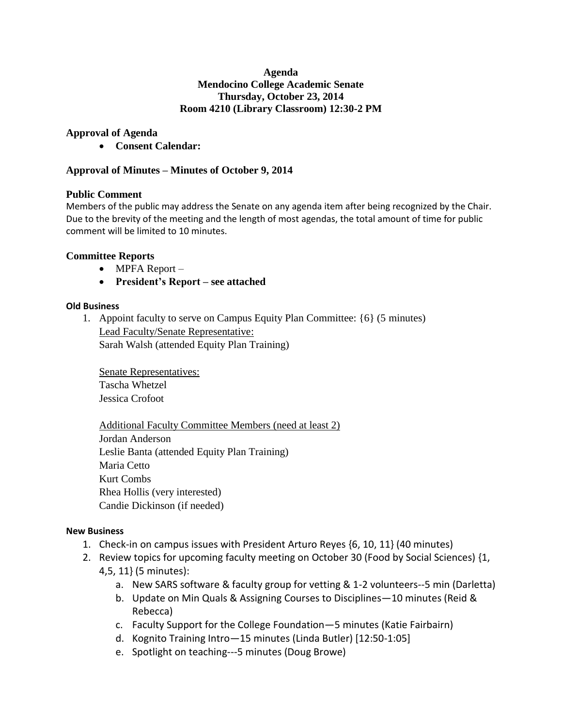### **Agenda Mendocino College Academic Senate Thursday, October 23, 2014 Room 4210 (Library Classroom) 12:30-2 PM**

## **Approval of Agenda**

**Consent Calendar:**

## **Approval of Minutes – Minutes of October 9, 2014**

## **Public Comment**

Members of the public may address the Senate on any agenda item after being recognized by the Chair. Due to the brevity of the meeting and the length of most agendas, the total amount of time for public comment will be limited to 10 minutes.

## **Committee Reports**

- MPFA Report –
- **President's Report – see attached**

## **Old Business**

1. Appoint faculty to serve on Campus Equity Plan Committee: {6} (5 minutes) Lead Faculty/Senate Representative: Sarah Walsh (attended Equity Plan Training)

Senate Representatives: Tascha Whetzel Jessica Crofoot

Additional Faculty Committee Members (need at least 2) Jordan Anderson Leslie Banta (attended Equity Plan Training) Maria Cetto Kurt Combs Rhea Hollis (very interested) Candie Dickinson (if needed)

## **New Business**

- 1. Check-in on campus issues with President Arturo Reyes {6, 10, 11} (40 minutes)
- 2. Review topics for upcoming faculty meeting on October 30 (Food by Social Sciences) {1,
	- 4,5, 11} (5 minutes):
		- a. New SARS software & faculty group for vetting & 1-2 volunteers--5 min (Darletta)
		- b. Update on Min Quals & Assigning Courses to Disciplines—10 minutes (Reid & Rebecca)
		- c. Faculty Support for the College Foundation—5 minutes (Katie Fairbairn)
		- d. Kognito Training Intro—15 minutes (Linda Butler) [12:50-1:05]
		- e. Spotlight on teaching---5 minutes (Doug Browe)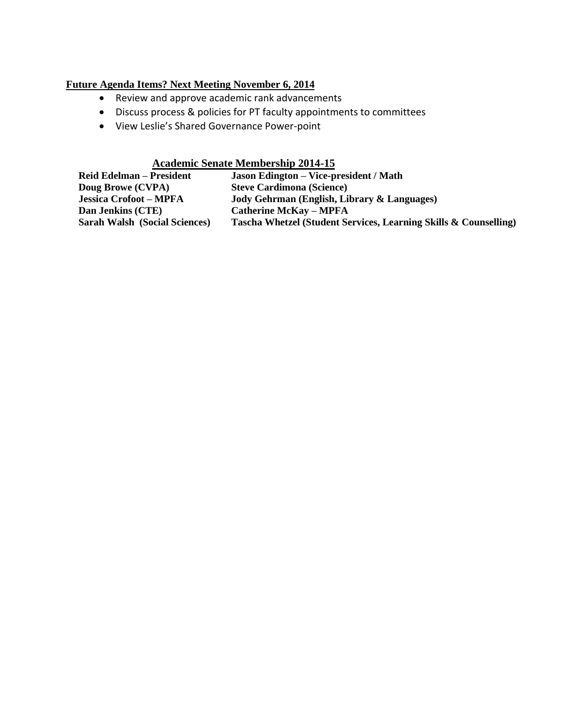# **Future Agenda Items? Next Meeting November 6, 2014**

- Review and approve academic rank advancements
- Discuss process & policies for PT faculty appointments to committees
- View Leslie's Shared Governance Power-point

## **Academic Senate Membership 2014-15**

| <b>Reid Edelman – President</b>      | <b>Jason Edington – Vice-president / Math</b>                    |
|--------------------------------------|------------------------------------------------------------------|
| Doug Browe (CVPA)                    | <b>Steve Cardimona (Science)</b>                                 |
| <b>Jessica Crofoot - MPFA</b>        | Jody Gehrman (English, Library & Languages)                      |
| Dan Jenkins (CTE)                    | <b>Catherine McKay – MPFA</b>                                    |
| <b>Sarah Walsh (Social Sciences)</b> | Tascha Whetzel (Student Services, Learning Skills & Counselling) |
|                                      |                                                                  |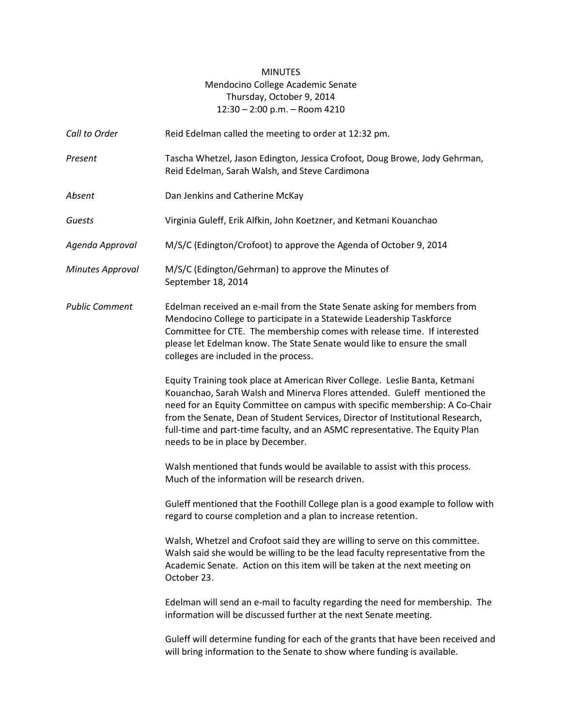## MINUTES Mendocino College Academic Senate Thursday, October 9, 2014 12:30 – 2:00 p.m. – Room 4210

- Call to Order Reid Edelman called the meeting to order at 12:32 pm.
- *Present* Tascha Whetzel, Jason Edington, Jessica Crofoot, Doug Browe, Jody Gehrman, Reid Edelman, Sarah Walsh, and Steve Cardimona
- *Absent* Dan Jenkins and Catherine McKay
- *Guests* Virginia Guleff, Erik Alfkin, John Koetzner, and Ketmani Kouanchao
- *Agenda Approval* M/S/C (Edington/Crofoot) to approve the Agenda of October 9, 2014
- *Minutes Approval* M/S/C (Edington/Gehrman) to approve the Minutes of September 18, 2014
- *Public Comment* Edelman received an e-mail from the State Senate asking for members from Mendocino College to participate in a Statewide Leadership Taskforce Committee for CTE. The membership comes with release time. If interested please let Edelman know. The State Senate would like to ensure the small colleges are included in the process.

Equity Training took place at American River College. Leslie Banta, Ketmani Kouanchao, Sarah Walsh and Minerva Flores attended. Guleff mentioned the need for an Equity Committee on campus with specific membership: A Co-Chair from the Senate, Dean of Student Services, Director of Institutional Research, full-time and part-time faculty, and an ASMC representative. The Equity Plan needs to be in place by December.

Walsh mentioned that funds would be available to assist with this process. Much of the information will be research driven.

Guleff mentioned that the Foothill College plan is a good example to follow with regard to course completion and a plan to increase retention.

Walsh, Whetzel and Crofoot said they are willing to serve on this committee. Walsh said she would be willing to be the lead faculty representative from the Academic Senate. Action on this item will be taken at the next meeting on October 23.

Edelman will send an e-mail to faculty regarding the need for membership. The information will be discussed further at the next Senate meeting.

Guleff will determine funding for each of the grants that have been received and will bring information to the Senate to show where funding is available.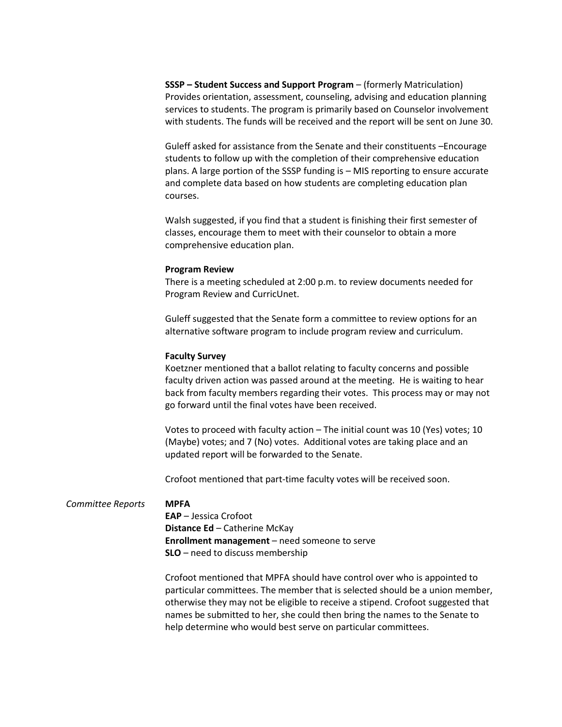**SSSP – Student Success and Support Program** – (formerly Matriculation) Provides orientation, assessment, counseling, advising and education planning services to students. The program is primarily based on Counselor involvement with students. The funds will be received and the report will be sent on June 30.

Guleff asked for assistance from the Senate and their constituents –Encourage students to follow up with the completion of their comprehensive education plans. A large portion of the SSSP funding is – MIS reporting to ensure accurate and complete data based on how students are completing education plan courses.

Walsh suggested, if you find that a student is finishing their first semester of classes, encourage them to meet with their counselor to obtain a more comprehensive education plan.

#### **Program Review**

There is a meeting scheduled at 2:00 p.m. to review documents needed for Program Review and CurricUnet.

Guleff suggested that the Senate form a committee to review options for an alternative software program to include program review and curriculum.

#### **Faculty Survey**

Koetzner mentioned that a ballot relating to faculty concerns and possible faculty driven action was passed around at the meeting. He is waiting to hear back from faculty members regarding their votes. This process may or may not go forward until the final votes have been received.

Votes to proceed with faculty action – The initial count was 10 (Yes) votes; 10 (Maybe) votes; and 7 (No) votes. Additional votes are taking place and an updated report will be forwarded to the Senate.

Crofoot mentioned that part-time faculty votes will be received soon.

#### *Committee Reports* **MPFA**

**EAP** – Jessica Crofoot **Distance Ed** – Catherine McKay **Enrollment management** – need someone to serve **SLO** – need to discuss membership

Crofoot mentioned that MPFA should have control over who is appointed to particular committees. The member that is selected should be a union member, otherwise they may not be eligible to receive a stipend. Crofoot suggested that names be submitted to her, she could then bring the names to the Senate to help determine who would best serve on particular committees.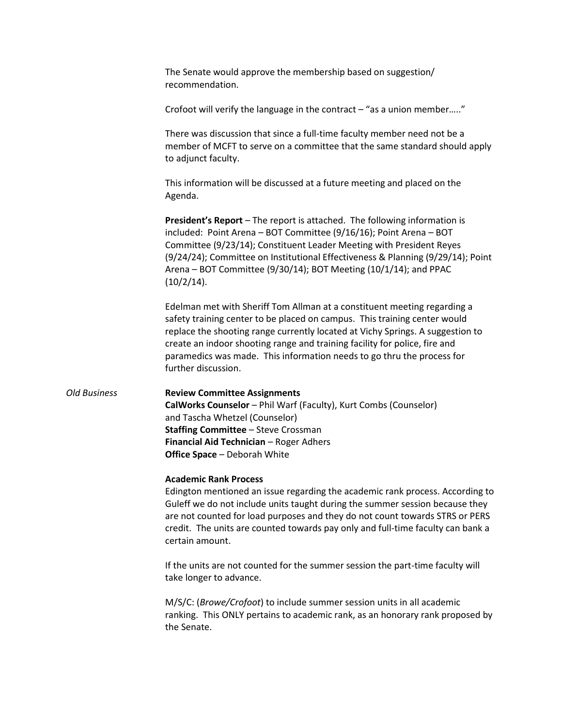The Senate would approve the membership based on suggestion/ recommendation.

Crofoot will verify the language in the contract  $-$  "as a union member....."

There was discussion that since a full-time faculty member need not be a member of MCFT to serve on a committee that the same standard should apply to adjunct faculty.

This information will be discussed at a future meeting and placed on the Agenda.

**President's Report** – The report is attached. The following information is included: Point Arena – BOT Committee (9/16/16); Point Arena – BOT Committee (9/23/14); Constituent Leader Meeting with President Reyes (9/24/24); Committee on Institutional Effectiveness & Planning (9/29/14); Point Arena – BOT Committee (9/30/14); BOT Meeting (10/1/14); and PPAC (10/2/14).

Edelman met with Sheriff Tom Allman at a constituent meeting regarding a safety training center to be placed on campus. This training center would replace the shooting range currently located at Vichy Springs. A suggestion to create an indoor shooting range and training facility for police, fire and paramedics was made. This information needs to go thru the process for further discussion.

# *Old Business* **Review Committee Assignments**

**CalWorks Counselor** – Phil Warf (Faculty), Kurt Combs (Counselor) and Tascha Whetzel (Counselor) **Staffing Committee** – Steve Crossman **Financial Aid Technician** – Roger Adhers **Office Space** – Deborah White

#### **Academic Rank Process**

Edington mentioned an issue regarding the academic rank process. According to Guleff we do not include units taught during the summer session because they are not counted for load purposes and they do not count towards STRS or PERS credit. The units are counted towards pay only and full-time faculty can bank a certain amount.

If the units are not counted for the summer session the part-time faculty will take longer to advance.

M/S/C: (*Browe/Crofoot*) to include summer session units in all academic ranking. This ONLY pertains to academic rank, as an honorary rank proposed by the Senate.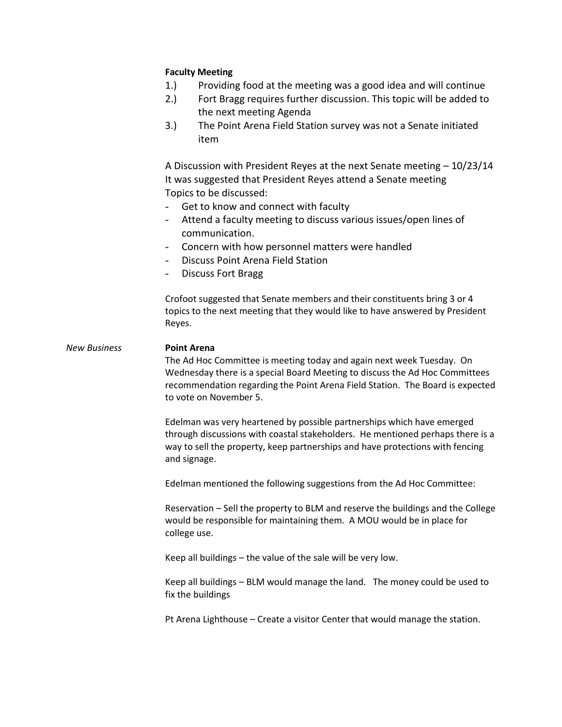### **Faculty Meeting**

- 1.) Providing food at the meeting was a good idea and will continue
- 2.) Fort Bragg requires further discussion. This topic will be added to the next meeting Agenda
- 3.) The Point Arena Field Station survey was not a Senate initiated item

A Discussion with President Reyes at the next Senate meeting – 10/23/14 It was suggested that President Reyes attend a Senate meeting Topics to be discussed:

- Get to know and connect with faculty
- Attend a faculty meeting to discuss various issues/open lines of communication.
- Concern with how personnel matters were handled
- Discuss Point Arena Field Station
- Discuss Fort Bragg

Crofoot suggested that Senate members and their constituents bring 3 or 4 topics to the next meeting that they would like to have answered by President Reyes.

*New Business* **Point Arena**

The Ad Hoc Committee is meeting today and again next week Tuesday. On Wednesday there is a special Board Meeting to discuss the Ad Hoc Committees recommendation regarding the Point Arena Field Station. The Board is expected to vote on November 5.

Edelman was very heartened by possible partnerships which have emerged through discussions with coastal stakeholders. He mentioned perhaps there is a way to sell the property, keep partnerships and have protections with fencing and signage.

Edelman mentioned the following suggestions from the Ad Hoc Committee:

Reservation – Sell the property to BLM and reserve the buildings and the College would be responsible for maintaining them. A MOU would be in place for college use.

Keep all buildings – the value of the sale will be very low.

Keep all buildings – BLM would manage the land. The money could be used to fix the buildings

Pt Arena Lighthouse – Create a visitor Center that would manage the station.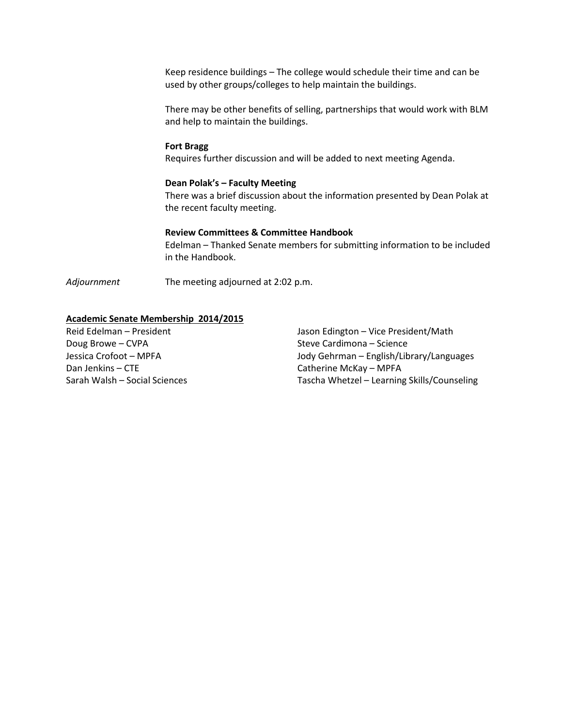Keep residence buildings – The college would schedule their time and can be used by other groups/colleges to help maintain the buildings.

There may be other benefits of selling, partnerships that would work with BLM and help to maintain the buildings.

#### **Fort Bragg**

Requires further discussion and will be added to next meeting Agenda.

#### **Dean Polak's – Faculty Meeting**

There was a brief discussion about the information presented by Dean Polak at the recent faculty meeting.

#### **Review Committees & Committee Handbook**

Edelman – Thanked Senate members for submitting information to be included in the Handbook.

*Adjournment* The meeting adjourned at 2:02 p.m.

#### **Academic Senate Membership 2014/2015**

Doug Browe – CVPA Steve Cardimona – Science Dan Jenkins – CTE Catherine McKay – MPFA

Reid Edelman – President Jason Edington – Vice President/Math Jessica Crofoot – MPFA Jody Gehrman – English/Library/Languages Sarah Walsh – Social Sciences Tascha Whetzel – Learning Skills/Counseling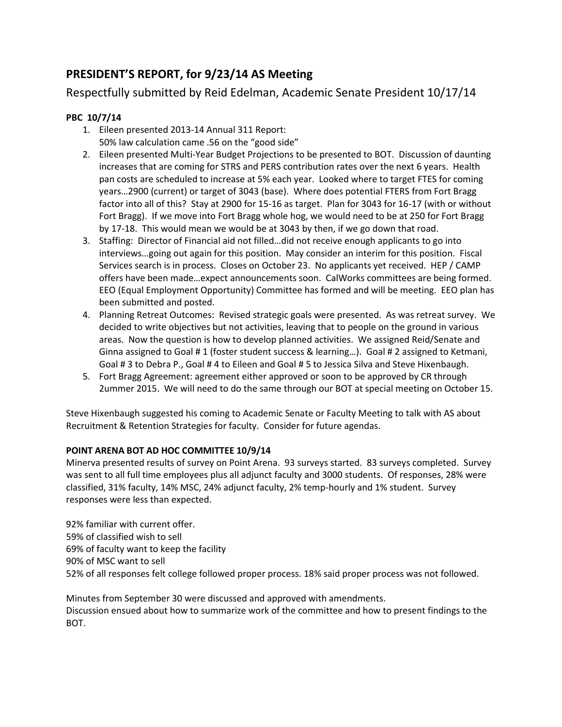# **PRESIDENT'S REPORT, for 9/23/14 AS Meeting**

Respectfully submitted by Reid Edelman, Academic Senate President 10/17/14

## **PBC 10/7/14**

- 1. Eileen presented 2013-14 Annual 311 Report: 50% law calculation came .56 on the "good side"
- 2. Eileen presented Multi-Year Budget Projections to be presented to BOT. Discussion of daunting increases that are coming for STRS and PERS contribution rates over the next 6 years. Health pan costs are scheduled to increase at 5% each year. Looked where to target FTES for coming years…2900 (current) or target of 3043 (base). Where does potential FTERS from Fort Bragg factor into all of this? Stay at 2900 for 15-16 as target. Plan for 3043 for 16-17 (with or without Fort Bragg). If we move into Fort Bragg whole hog, we would need to be at 250 for Fort Bragg by 17-18. This would mean we would be at 3043 by then, if we go down that road.
- 3. Staffing: Director of Financial aid not filled…did not receive enough applicants to go into interviews…going out again for this position. May consider an interim for this position. Fiscal Services search is in process. Closes on October 23. No applicants yet received. HEP / CAMP offers have been made…expect announcements soon. CalWorks committees are being formed. EEO (Equal Employment Opportunity) Committee has formed and will be meeting. EEO plan has been submitted and posted.
- 4. Planning Retreat Outcomes: Revised strategic goals were presented. As was retreat survey. We decided to write objectives but not activities, leaving that to people on the ground in various areas. Now the question is how to develop planned activities. We assigned Reid/Senate and Ginna assigned to Goal # 1 (foster student success & learning…). Goal # 2 assigned to Ketmani, Goal # 3 to Debra P., Goal # 4 to Eileen and Goal # 5 to Jessica Silva and Steve Hixenbaugh.
- 5. Fort Bragg Agreement: agreement either approved or soon to be approved by CR through 2ummer 2015. We will need to do the same through our BOT at special meeting on October 15.

Steve Hixenbaugh suggested his coming to Academic Senate or Faculty Meeting to talk with AS about Recruitment & Retention Strategies for faculty. Consider for future agendas.

## **POINT ARENA BOT AD HOC COMMITTEE 10/9/14**

Minerva presented results of survey on Point Arena. 93 surveys started. 83 surveys completed. Survey was sent to all full time employees plus all adjunct faculty and 3000 students. Of responses, 28% were classified, 31% faculty, 14% MSC, 24% adjunct faculty, 2% temp-hourly and 1% student. Survey responses were less than expected.

92% familiar with current offer. 59% of classified wish to sell 69% of faculty want to keep the facility 90% of MSC want to sell 52% of all responses felt college followed proper process. 18% said proper process was not followed.

Minutes from September 30 were discussed and approved with amendments. Discussion ensued about how to summarize work of the committee and how to present findings to the BOT.